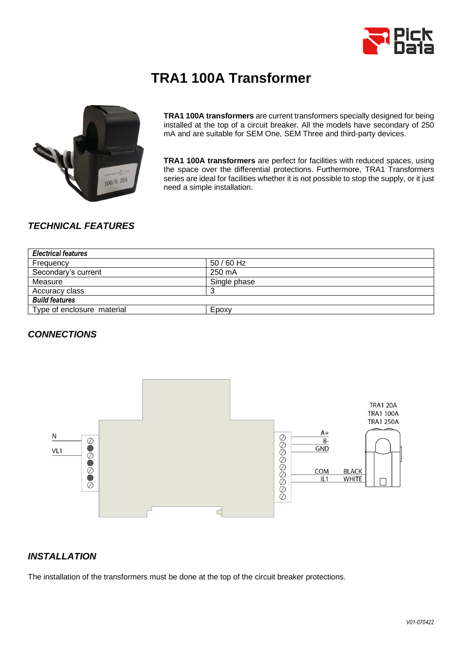

# **TRA1 100A Transformer**



**TRA1 100A transformers** are current transformers specially designed for being installed at the top of a circuit breaker. All the models have secondary of 250 mA and are suitable for SEM One, SEM Three and third-party devices.

**TRA1 100A transformers** are perfect for facilities with reduced spaces, using the space over the differential protections. Furthermore, TRA1 Transformers series are ideal for facilities whether it is not possible to stop the supply, or it just need a simple installation.

## *TECHNICAL FEATURES*

| <b>Electrical features</b> |              |  |  |
|----------------------------|--------------|--|--|
| Frequency                  | $50/60$ Hz   |  |  |
| Secondary's current        | 250 mA       |  |  |
| Measure                    | Single phase |  |  |
| Accuracy class             |              |  |  |
| <b>Build features</b>      |              |  |  |
| Type of enclosure material | Epoxy        |  |  |

#### *CONNECTIONS*



#### *INSTALLATION*

The installation of the transformers must be done at the top of the circuit breaker protections.